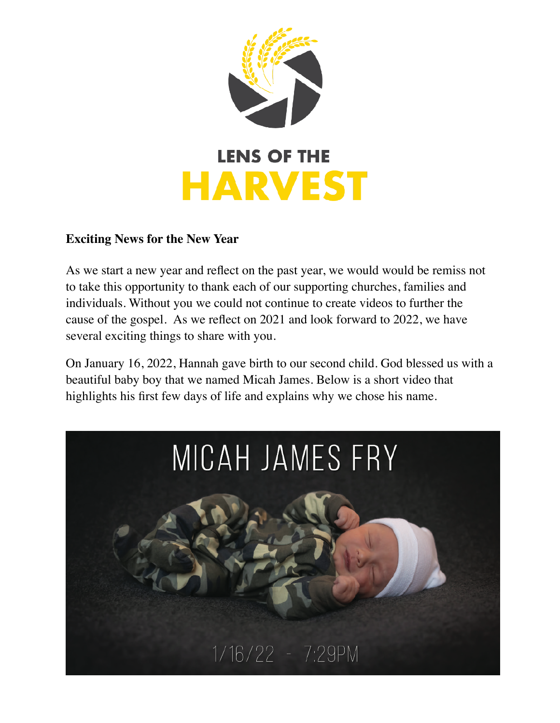

## **Exciting News for the New Year**

As we start a new year and reflect on the past year, we would would be remiss not to take this opportunity to thank each of our supporting churches, families and individuals. Without you we could not continue to create videos to further the cause of the gospel. As we reflect on 2021 and look forward to 2022, we have several exciting things to share with you.

On January 16, 2022, Hannah gave birth to our second child. God blessed us with a beautiful baby boy that we named Micah James. Below is a short video that highlights his first few days of life and explains why we chose his name.

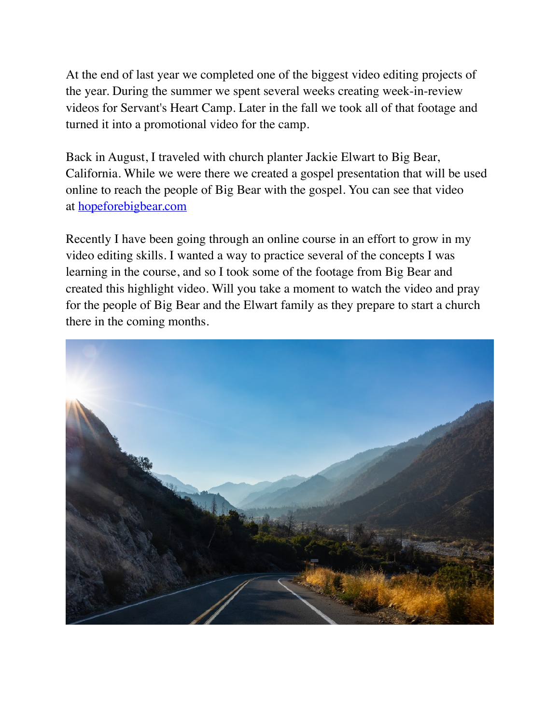At the end of last year we completed one of the biggest video editing projects of the year. During the summer we spent several weeks creating week-in-review videos for Servant's Heart Camp. Later in the fall we took all of that footage and turned it into a promotional video for the camp.

Back in August, I traveled with church planter Jackie Elwart to Big Bear, California. While we were there we created a gospel presentation that will be used online to reach the people of Big Bear with the gospel. You can see that video at [hopeforebigbear.com](http://hopeforbigbear.com/)

Recently I have been going through an online course in an effort to grow in my video editing skills. I wanted a way to practice several of the concepts I was learning in the course, and so I took some of the footage from Big Bear and created this highlight video. Will you take a moment to watch the video and pray for the people of Big Bear and the Elwart family as they prepare to start a church there in the coming months.